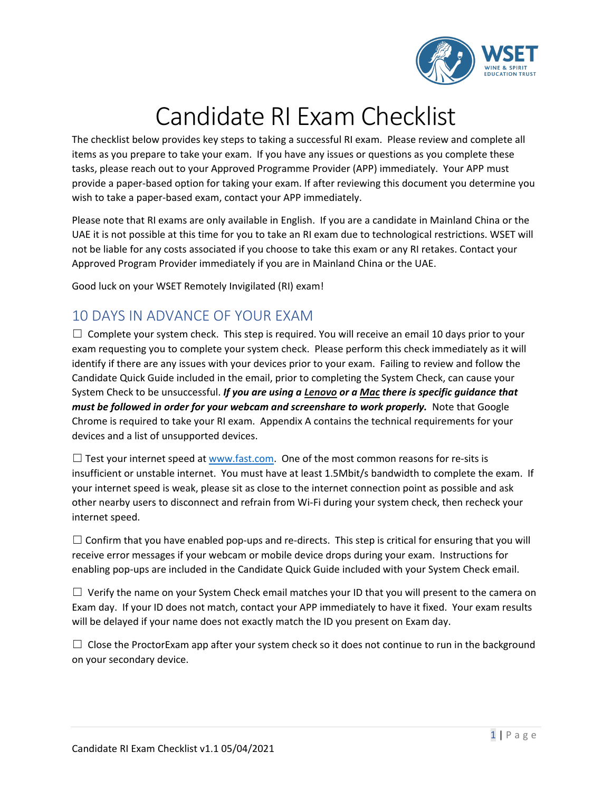

## Candidate RI Exam Checklist

The checklist below provides key steps to taking a successful RI exam. Please review and complete all items as you prepare to take your exam. If you have any issues or questions as you complete these tasks, please reach out to your Approved Programme Provider (APP) immediately. Your APP must provide a paper-based option for taking your exam. If after reviewing this document you determine you wish to take a paper-based exam, contact your APP immediately.

Please note that RI exams are only available in English. If you are a candidate in Mainland China or the UAE it is not possible at this time for you to take an RI exam due to technological restrictions. WSET will not be liable for any costs associated if you choose to take this exam or any RI retakes. Contact your Approved Program Provider immediately if you are in Mainland China or the UAE.

Good luck on your WSET Remotely Invigilated (RI) exam!

### 10 DAYS IN ADVANCE OF YOUR EXAM

 $\Box$  Complete your system check. This step is required. You will receive an email 10 days prior to your exam requesting you to complete your system check. Please perform this check immediately as it will identify if there are any issues with your devices prior to your exam. Failing to review and follow the Candidate Quick Guide included in the email, prior to completing the System Check, can cause your System Check to be unsuccessful. *If you are using a Lenovo or a Mac there is specific guidance that must be followed in order for your webcam and screenshare to work properly.* Note that Google Chrome is required to take your RI exam. Appendix A contains the technical requirements for your devices and a list of unsupported devices.

 $\Box$  Test your internet speed at [www.fast.com.](http://www.fast.com/) One of the most common reasons for re-sits is insufficient or unstable internet. You must have at least 1.5Mbit/s bandwidth to complete the exam. If your internet speed is weak, please sit as close to the internet connection point as possible and ask other nearby users to disconnect and refrain from Wi-Fi during your system check, then recheck your internet speed.

 $\Box$  Confirm that you have enabled pop-ups and re-directs. This step is critical for ensuring that you will receive error messages if your webcam or mobile device drops during your exam. Instructions for enabling pop-ups are included in the Candidate Quick Guide included with your System Check email.

 $\Box$  Verify the name on your System Check email matches your ID that you will present to the camera on Exam day. If your ID does not match, contact your APP immediately to have it fixed. Your exam results will be delayed if your name does not exactly match the ID you present on Exam day.

 $\Box$  Close the ProctorExam app after your system check so it does not continue to run in the background on your secondary device.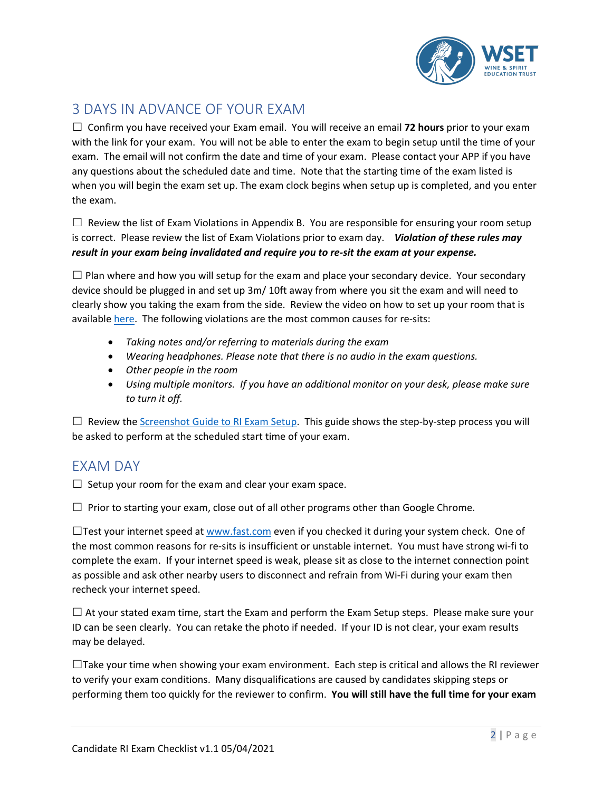

## 3 DAYS IN ADVANCE OF YOUR EXAM

☐ Confirm you have received your Exam email. You will receive an email **72 hours** prior to your exam with the link for your exam. You will not be able to enter the exam to begin setup until the time of your exam. The email will not confirm the date and time of your exam. Please contact your APP if you have any questions about the scheduled date and time. Note that the starting time of the exam listed is when you will begin the exam set up. The exam clock begins when setup up is completed, and you enter the exam.

 $\Box$  Review the list of Exam Violations in Appendix B. You are responsible for ensuring your room setup is correct. Please review the list of Exam Violations prior to exam day. *Violation of these rules may result in your exam being invalidated and require you to re-sit the exam at your expense.*

 $\Box$  Plan where and how you will setup for the exam and place your secondary device. Your secondary device should be plugged in and set up 3m/ 10ft away from where you sit the exam and will need to clearly show you taking the exam from the side. Review the video on how to set up your room that is available [here.](https://youtu.be/DarWJz6dUbU) The following violations are the most common causes for re-sits:

- *Taking notes and/or referring to materials during the exam*
- *Wearing headphones. Please note that there is no audio in the exam questions.*
- *Other people in the room*
- *Using multiple monitors. If you have an additional monitor on your desk, please make sure to turn it off.*

 $\Box$  Review the [Screenshot Guide](https://www.wsetglobal.com/media/9260/screenshot-guide-to-ri-exam-setup.pdf) to RI Exam Setup. This guide shows the step-by-step process you will be asked to perform at the scheduled start time of your exam.

### EXAM DAY

 $\Box$  Setup your room for the exam and clear your exam space.

 $\Box$  Prior to starting your exam, close out of all other programs other than Google Chrome.

 $\Box$ Test your internet speed a[t www.fast.com](http://www.fast.com/) even if you checked it during your system check. One of the most common reasons for re-sits is insufficient or unstable internet. You must have strong wi-fi to complete the exam. If your internet speed is weak, please sit as close to the internet connection point as possible and ask other nearby users to disconnect and refrain from Wi-Fi during your exam then recheck your internet speed.

 $\Box$  At your stated exam time, start the Exam and perform the Exam Setup steps. Please make sure your ID can be seen clearly. You can retake the photo if needed. If your ID is not clear, your exam results may be delayed.

 $\Box$ Take your time when showing your exam environment. Each step is critical and allows the RI reviewer to verify your exam conditions. Many disqualifications are caused by candidates skipping steps or performing them too quickly for the reviewer to confirm. **You will still have the full time for your exam**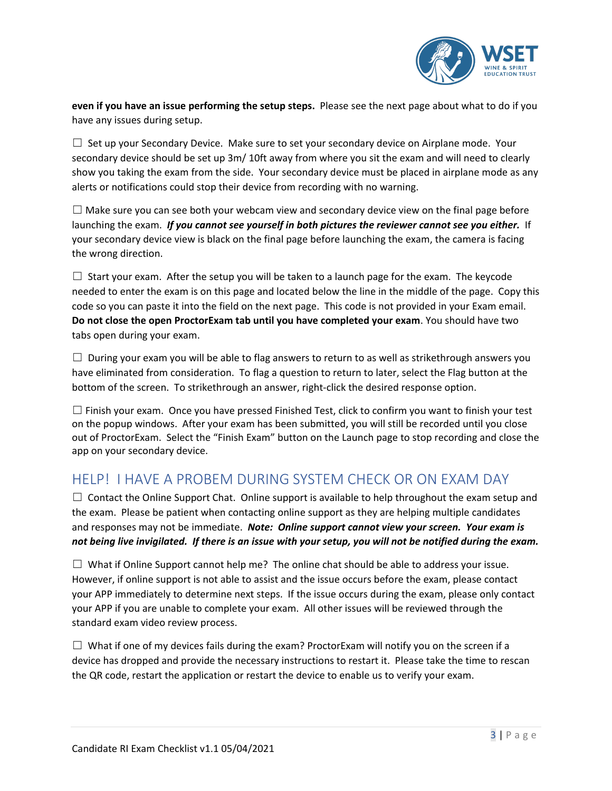

**even if you have an issue performing the setup steps.** Please see the next page about what to do if you have any issues during setup.

 $\Box$  Set up your Secondary Device. Make sure to set your secondary device on Airplane mode. Your secondary device should be set up 3m/ 10ft away from where you sit the exam and will need to clearly show you taking the exam from the side. Your secondary device must be placed in airplane mode as any alerts or notifications could stop their device from recording with no warning.

 $\Box$  Make sure you can see both your webcam view and secondary device view on the final page before launching the exam. *If you cannot see yourself in both pictures the reviewer cannot see you either.* If your secondary device view is black on the final page before launching the exam, the camera is facing the wrong direction.

 $\Box$  Start your exam. After the setup you will be taken to a launch page for the exam. The keycode needed to enter the exam is on this page and located below the line in the middle of the page. Copy this code so you can paste it into the field on the next page. This code is not provided in your Exam email. **Do not close the open ProctorExam tab until you have completed your exam**. You should have two tabs open during your exam.

 $\Box$  During your exam you will be able to flag answers to return to as well as strikethrough answers you have eliminated from consideration. To flag a question to return to later, select the Flag button at the bottom of the screen. To strikethrough an answer, right-click the desired response option.

 $\Box$  Finish your exam. Once you have pressed Finished Test, click to confirm you want to finish your test on the popup windows. After your exam has been submitted, you will still be recorded until you close out of ProctorExam. Select the "Finish Exam" button on the Launch page to stop recording and close the app on your secondary device.

### HELP! I HAVE A PROBEM DURING SYSTEM CHECK OR ON EXAM DAY

 $\Box$  Contact the Online Support Chat. Online support is available to help throughout the exam setup and the exam. Please be patient when contacting online support as they are helping multiple candidates and responses may not be immediate. *Note: Online support cannot view your screen. Your exam is not being live invigilated. If there is an issue with your setup, you will not be notified during the exam.*

 $\Box$  What if Online Support cannot help me? The online chat should be able to address your issue. However, if online support is not able to assist and the issue occurs before the exam, please contact your APP immediately to determine next steps. If the issue occurs during the exam, please only contact your APP if you are unable to complete your exam. All other issues will be reviewed through the standard exam video review process.

 $\Box$  What if one of my devices fails during the exam? ProctorExam will notify you on the screen if a device has dropped and provide the necessary instructions to restart it. Please take the time to rescan the QR code, restart the application or restart the device to enable us to verify your exam.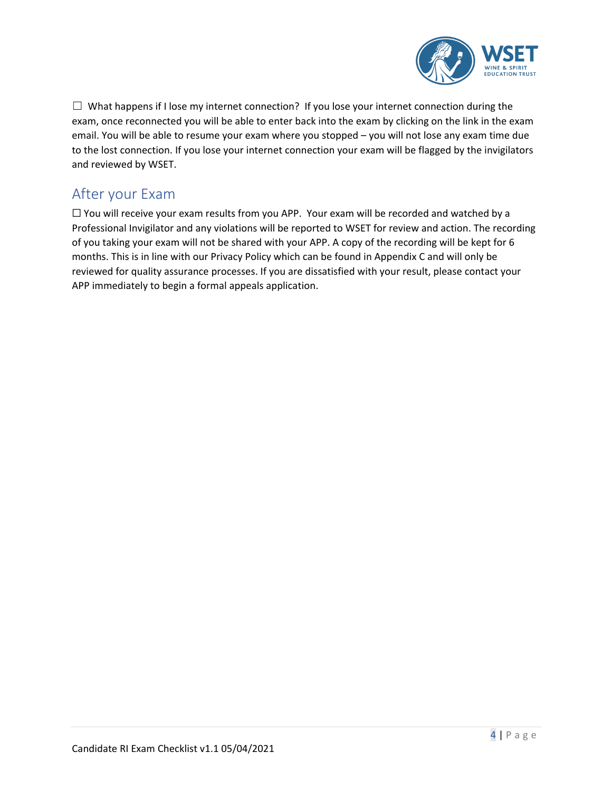

 $\Box$  What happens if I lose my internet connection? If you lose your internet connection during the exam, once reconnected you will be able to enter back into the exam by clicking on the link in the exam email. You will be able to resume your exam where you stopped – you will not lose any exam time due to the lost connection. If you lose your internet connection your exam will be flagged by the invigilators and reviewed by WSET.

## After your Exam

☐ You will receive your exam results from you APP. Your exam will be recorded and watched by a Professional Invigilator and any violations will be reported to WSET for review and action. The recording of you taking your exam will not be shared with your APP. A copy of the recording will be kept for 6 months. This is in line with our Privacy Policy which can be found in Appendix C and will only be reviewed for quality assurance processes. If you are dissatisfied with your result, please contact your APP immediately to begin a formal appeals application.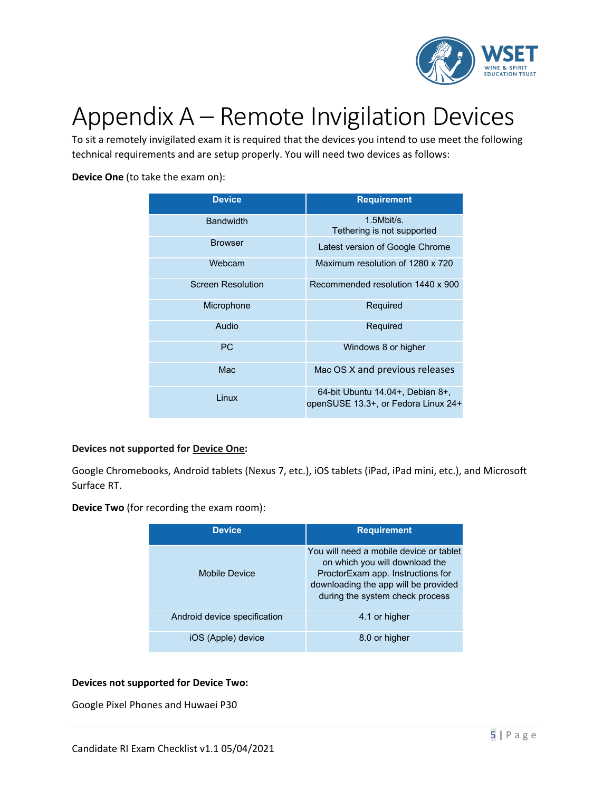

## Appendix A – Remote Invigilation Devices

To sit a remotely invigilated exam it is required that the devices you intend to use meet the following technical requirements and are setup properly. You will need two devices as follows:

#### **Device One** (to take the exam on):

| <b>Device</b>            | <b>Requirement</b>                                                      |
|--------------------------|-------------------------------------------------------------------------|
| <b>Bandwidth</b>         | $1.5$ Mbit/s.<br>Tethering is not supported                             |
| <b>Browser</b>           | Latest version of Google Chrome                                         |
| Webcam                   | Maximum resolution of 1280 x 720                                        |
| <b>Screen Resolution</b> | Recommended resolution 1440 x 900                                       |
| Microphone               | Required                                                                |
| Audio                    | Required                                                                |
| <b>PC</b>                | Windows 8 or higher                                                     |
| Mac                      | Mac OS X and previous releases                                          |
| Linux                    | 64-bit Ubuntu 14.04+, Debian 8+,<br>openSUSE 13.3+, or Fedora Linux 24+ |

#### **Devices not supported for Device One:**

Google Chromebooks, Android tablets (Nexus 7, etc.), iOS tablets (iPad, iPad mini, etc.), and Microsoft Surface RT.

**Device Two** (for recording the exam room):

| <b>Device</b>                | <b>Requirement</b>                                                                                                                                                                        |
|------------------------------|-------------------------------------------------------------------------------------------------------------------------------------------------------------------------------------------|
| Mobile Device                | You will need a mobile device or tablet<br>on which you will download the<br>ProctorExam app. Instructions for<br>downloading the app will be provided<br>during the system check process |
| Android device specification | 4.1 or higher                                                                                                                                                                             |
| iOS (Apple) device           | 8.0 or higher                                                                                                                                                                             |

#### **Devices not supported for Device Two:**

Google Pixel Phones and Huwaei P30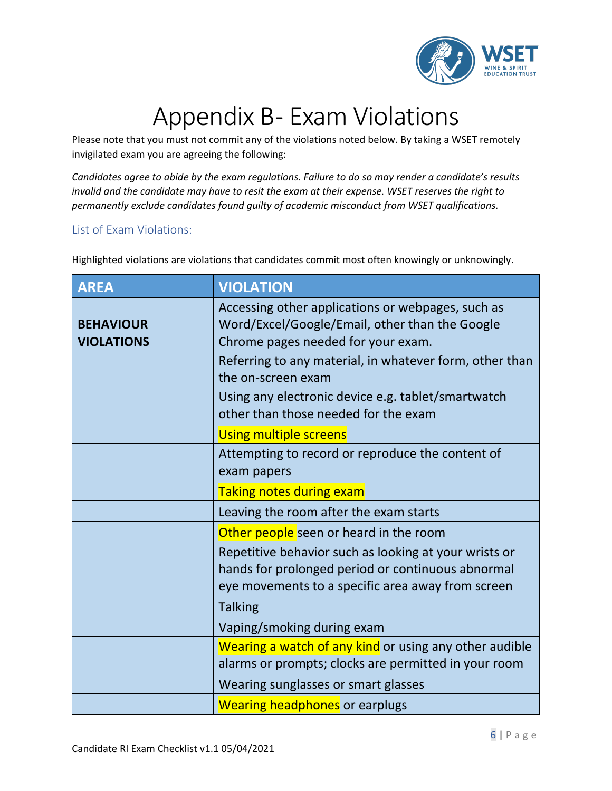

# Appendix B- Exam Violations

Please note that you must not commit any of the violations noted below. By taking a WSET remotely invigilated exam you are agreeing the following:

*Candidates agree to abide by the exam regulations. Failure to do so may render a candidate's results invalid and the candidate may have to resit the exam at their expense. WSET reserves the right to permanently exclude candidates found guilty of academic misconduct from WSET qualifications.*

### List of Exam Violations:

Highlighted violations are violations that candidates commit most often knowingly or unknowingly.

| <b>AREA</b>                           | <b>VIOLATION</b>                                                                                                                                                |
|---------------------------------------|-----------------------------------------------------------------------------------------------------------------------------------------------------------------|
| <b>BEHAVIOUR</b><br><b>VIOLATIONS</b> | Accessing other applications or webpages, such as<br>Word/Excel/Google/Email, other than the Google<br>Chrome pages needed for your exam.                       |
|                                       | Referring to any material, in whatever form, other than<br>the on-screen exam                                                                                   |
|                                       | Using any electronic device e.g. tablet/smartwatch<br>other than those needed for the exam                                                                      |
|                                       | <b>Using multiple screens</b>                                                                                                                                   |
|                                       | Attempting to record or reproduce the content of<br>exam papers                                                                                                 |
|                                       | <b>Taking notes during exam</b>                                                                                                                                 |
|                                       | Leaving the room after the exam starts                                                                                                                          |
|                                       | Other people seen or heard in the room                                                                                                                          |
|                                       | Repetitive behavior such as looking at your wrists or<br>hands for prolonged period or continuous abnormal<br>eye movements to a specific area away from screen |
|                                       | <b>Talking</b>                                                                                                                                                  |
|                                       | Vaping/smoking during exam                                                                                                                                      |
|                                       | Wearing a watch of any kind or using any other audible<br>alarms or prompts; clocks are permitted in your room                                                  |
|                                       | Wearing sunglasses or smart glasses                                                                                                                             |
|                                       | <b>Wearing headphones</b> or earplugs                                                                                                                           |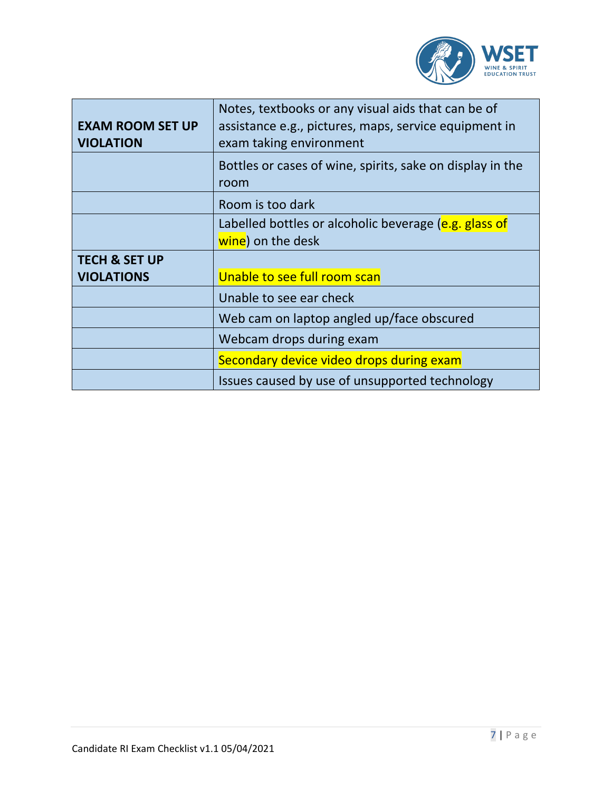

| <b>EXAM ROOM SET UP</b><br><b>VIOLATION</b>   | Notes, textbooks or any visual aids that can be of<br>assistance e.g., pictures, maps, service equipment in<br>exam taking environment |
|-----------------------------------------------|----------------------------------------------------------------------------------------------------------------------------------------|
|                                               | Bottles or cases of wine, spirits, sake on display in the<br>room                                                                      |
|                                               | Room is too dark                                                                                                                       |
|                                               | Labelled bottles or alcoholic beverage (e.g. glass of<br>wine) on the desk                                                             |
| <b>TECH &amp; SET UP</b><br><b>VIOLATIONS</b> | Unable to see full room scan                                                                                                           |
|                                               | Unable to see ear check                                                                                                                |
|                                               | Web cam on laptop angled up/face obscured                                                                                              |
|                                               | Webcam drops during exam                                                                                                               |
|                                               | Secondary device video drops during exam                                                                                               |
|                                               | Issues caused by use of unsupported technology                                                                                         |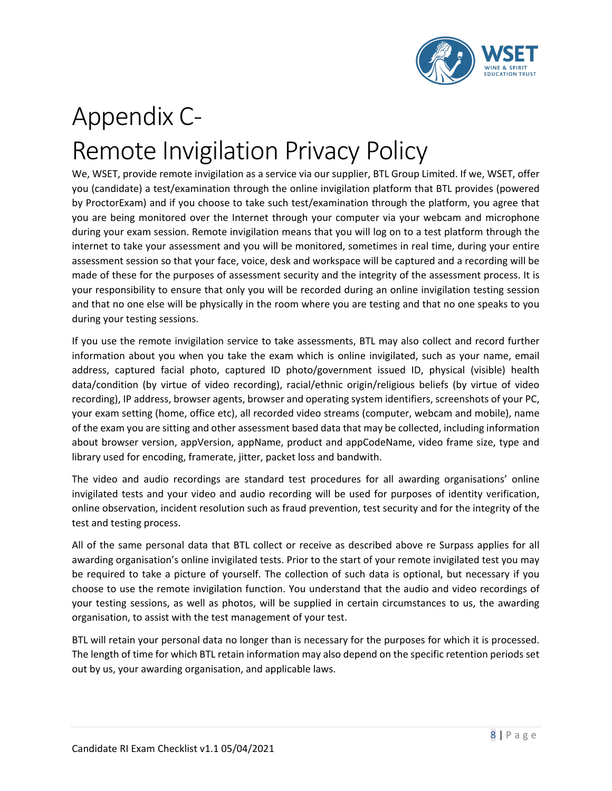

## Appendix C-Remote Invigilation Privacy Policy

We, WSET, provide remote invigilation as a service via our supplier, BTL Group Limited. If we, WSET, offer you (candidate) a test/examination through the online invigilation platform that BTL provides (powered by ProctorExam) and if you choose to take such test/examination through the platform, you agree that you are being monitored over the Internet through your computer via your webcam and microphone during your exam session. Remote invigilation means that you will log on to a test platform through the internet to take your assessment and you will be monitored, sometimes in real time, during your entire assessment session so that your face, voice, desk and workspace will be captured and a recording will be made of these for the purposes of assessment security and the integrity of the assessment process. It is your responsibility to ensure that only you will be recorded during an online invigilation testing session and that no one else will be physically in the room where you are testing and that no one speaks to you during your testing sessions.

If you use the remote invigilation service to take assessments, BTL may also collect and record further information about you when you take the exam which is online invigilated, such as your name, email address, captured facial photo, captured ID photo/government issued ID, physical (visible) health data/condition (by virtue of video recording), racial/ethnic origin/religious beliefs (by virtue of video recording), IP address, browser agents, browser and operating system identifiers, screenshots of your PC, your exam setting (home, office etc), all recorded video streams (computer, webcam and mobile), name of the exam you are sitting and other assessment based data that may be collected, including information about browser version, appVersion, appName, product and appCodeName, video frame size, type and library used for encoding, framerate, jitter, packet loss and bandwith.

The video and audio recordings are standard test procedures for all awarding organisations' online invigilated tests and your video and audio recording will be used for purposes of identity verification, online observation, incident resolution such as fraud prevention, test security and for the integrity of the test and testing process.

All of the same personal data that BTL collect or receive as described above re Surpass applies for all awarding organisation's online invigilated tests. Prior to the start of your remote invigilated test you may be required to take a picture of yourself. The collection of such data is optional, but necessary if you choose to use the remote invigilation function. You understand that the audio and video recordings of your testing sessions, as well as photos, will be supplied in certain circumstances to us, the awarding organisation, to assist with the test management of your test.

BTL will retain your personal data no longer than is necessary for the purposes for which it is processed. The length of time for which BTL retain information may also depend on the specific retention periods set out by us, your awarding organisation, and applicable laws.